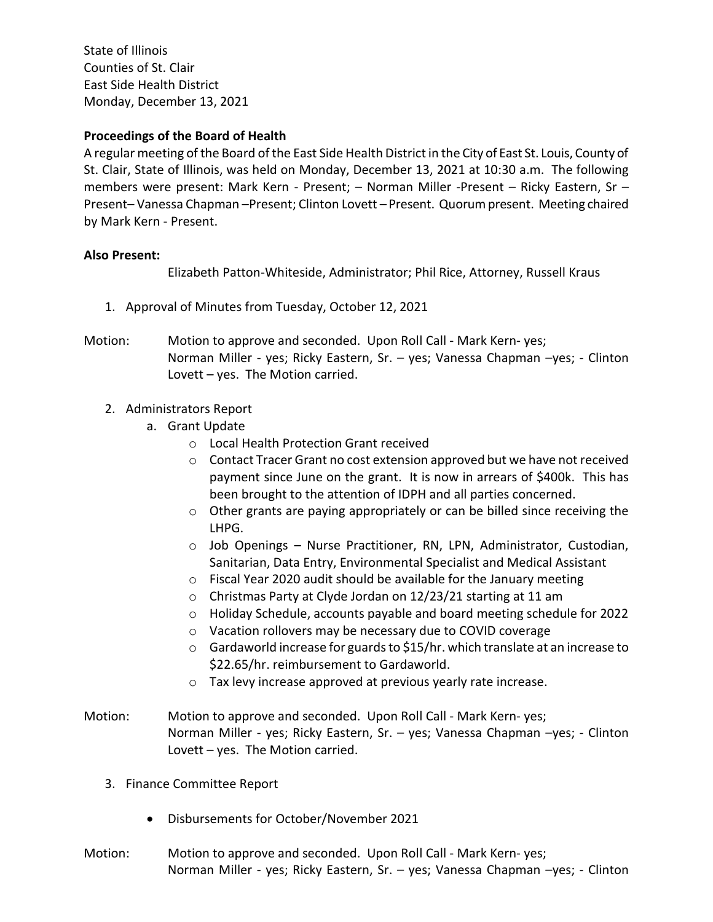State of Illinois Counties of St. Clair East Side Health District Monday, December 13, 2021

## **Proceedings of the Board of Health**

A regular meeting of the Board of the East Side Health District in the City of East St. Louis, County of St. Clair, State of Illinois, was held on Monday, December 13, 2021 at 10:30 a.m. The following members were present: Mark Kern - Present; – Norman Miller -Present – Ricky Eastern, Sr – Present– Vanessa Chapman –Present; Clinton Lovett – Present. Quorum present. Meeting chaired by Mark Kern - Present.

## **Also Present:**

Elizabeth Patton-Whiteside, Administrator; Phil Rice, Attorney, Russell Kraus

- 1. Approval of Minutes from Tuesday, October 12, 2021
- Motion: Motion to approve and seconded. Upon Roll Call Mark Kern- yes; Norman Miller - yes; Ricky Eastern, Sr. – yes; Vanessa Chapman –yes; - Clinton Lovett – yes. The Motion carried.
	- 2. Administrators Report
		- a. Grant Update
			- o Local Health Protection Grant received
			- o Contact Tracer Grant no cost extension approved but we have not received payment since June on the grant. It is now in arrears of \$400k. This has been brought to the attention of IDPH and all parties concerned.
			- o Other grants are paying appropriately or can be billed since receiving the LHPG.
			- o Job Openings Nurse Practitioner, RN, LPN, Administrator, Custodian, Sanitarian, Data Entry, Environmental Specialist and Medical Assistant
			- o Fiscal Year 2020 audit should be available for the January meeting
			- o Christmas Party at Clyde Jordan on 12/23/21 starting at 11 am
			- o Holiday Schedule, accounts payable and board meeting schedule for 2022
			- o Vacation rollovers may be necessary due to COVID coverage
			- $\circ$  Gardaworld increase for guards to \$15/hr. which translate at an increase to \$22.65/hr. reimbursement to Gardaworld.
			- o Tax levy increase approved at previous yearly rate increase.
- Motion: Motion to approve and seconded. Upon Roll Call Mark Kern- yes; Norman Miller - yes; Ricky Eastern, Sr. – yes; Vanessa Chapman –yes; - Clinton Lovett – yes. The Motion carried.
	- 3. Finance Committee Report
		- Disbursements for October/November 2021
- Motion: Motion to approve and seconded. Upon Roll Call Mark Kern- yes; Norman Miller - yes; Ricky Eastern, Sr. – yes; Vanessa Chapman –yes; - Clinton